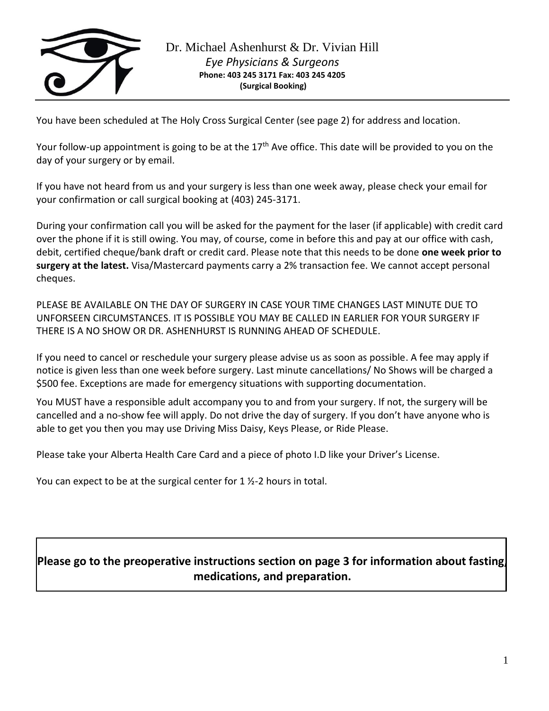

You have been scheduled at The Holy Cross Surgical Center (see page 2) for address and location.

Your follow-up appointment is going to be at the  $17<sup>th</sup>$  Ave office. This date will be provided to you on the day of your surgery or by email.

If you have not heard from us and your surgery is less than one week away, please check your email for your confirmation or call surgical booking at (403) 245-3171.

During your confirmation call you will be asked for the payment for the laser (if applicable) with credit card over the phone if it is still owing. You may, of course, come in before this and pay at our office with cash, debit, certified cheque/bank draft or credit card. Please note that this needs to be done **one week prior to surgery at the latest.** Visa/Mastercard payments carry a 2% transaction fee. We cannot accept personal cheques.

PLEASE BE AVAILABLE ON THE DAY OF SURGERY IN CASE YOUR TIME CHANGES LAST MINUTE DUE TO UNFORSEEN CIRCUMSTANCES. IT IS POSSIBLE YOU MAY BE CALLED IN EARLIER FOR YOUR SURGERY IF THERE IS A NO SHOW OR DR. ASHENHURST IS RUNNING AHEAD OF SCHEDULE.

If you need to cancel or reschedule your surgery please advise us as soon as possible. A fee may apply if notice is given less than one week before surgery. Last minute cancellations/ No Shows will be charged a \$500 fee. Exceptions are made for emergency situations with supporting documentation.

You MUST have a responsible adult accompany you to and from your surgery. If not, the surgery will be cancelled and a no-show fee will apply. Do not drive the day of surgery. If you don't have anyone who is able to get you then you may use Driving Miss Daisy, Keys Please, or Ride Please.

Please take your Alberta Health Care Card and a piece of photo I.D like your Driver's License.

You can expect to be at the surgical center for 1 ½-2 hours in total.

# **Please go to the preoperative instructions section on page 3 for information about fasting, medications, and preparation.**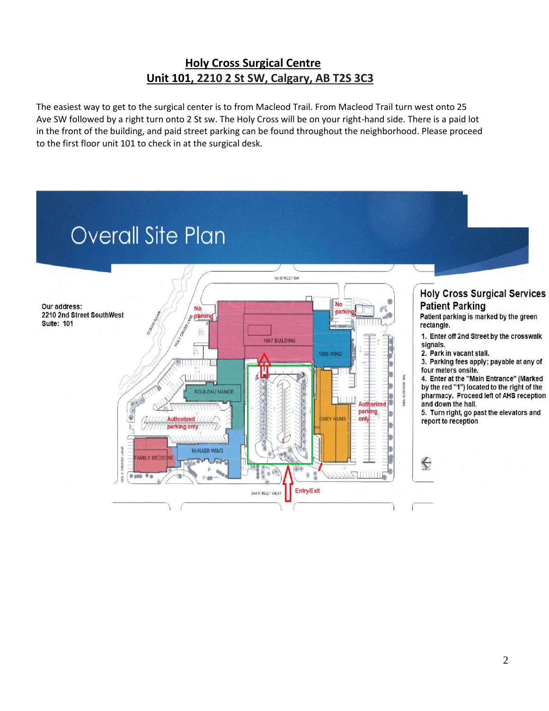# **Holy Cross Surgical Centre Unit 101, 2210 2 St SW, Calgary, AB T2S 3C3**

The easiest way to get to the surgical center is to from Macleod Trail. From Macleod Trail turn west onto 25 Ave SW followed by a right turn onto 2 St sw. The Holy Cross will be on your right-hand side. There is a paid lot in the front of the building, and paid street parking can be found throughout the neighborhood. Please proceed to the first floor unit 101 to check in at the surgical desk.

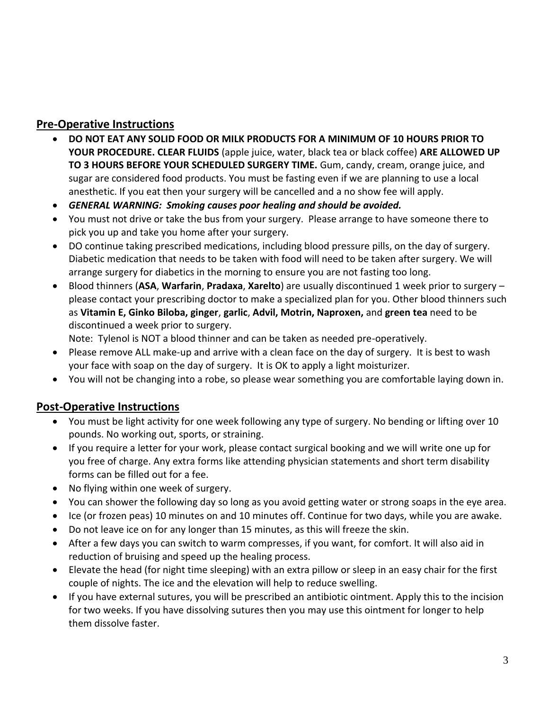## **Pre-Operative Instructions**

- **DO NOT EAT ANY SOLID FOOD OR MILK PRODUCTS FOR A MINIMUM OF 10 HOURS PRIOR TO YOUR PROCEDURE. CLEAR FLUIDS** (apple juice, water, black tea or black coffee) **ARE ALLOWED UP TO 3 HOURS BEFORE YOUR SCHEDULED SURGERY TIME.** Gum, candy, cream, orange juice, and sugar are considered food products. You must be fasting even if we are planning to use a local anesthetic. If you eat then your surgery will be cancelled and a no show fee will apply.
- *GENERAL WARNING: Smoking causes poor healing and should be avoided.*
- You must not drive or take the bus from your surgery. Please arrange to have someone there to pick you up and take you home after your surgery.
- DO continue taking prescribed medications, including blood pressure pills, on the day of surgery. Diabetic medication that needs to be taken with food will need to be taken after surgery. We will arrange surgery for diabetics in the morning to ensure you are not fasting too long.
- Blood thinners (**ASA**, **Warfarin**, **Pradaxa**, **Xarelto**) are usually discontinued 1 week prior to surgery please contact your prescribing doctor to make a specialized plan for you. Other blood thinners such as **Vitamin E, Ginko Biloba, ginger**, **garlic**, **Advil, Motrin, Naproxen,** and **green tea** need to be discontinued a week prior to surgery.

Note: Tylenol is NOT a blood thinner and can be taken as needed pre-operatively.

- Please remove ALL make-up and arrive with a clean face on the day of surgery. It is best to wash your face with soap on the day of surgery. It is OK to apply a light moisturizer.
- You will not be changing into a robe, so please wear something you are comfortable laying down in.

# **Post-Operative Instructions**

- You must be light activity for one week following any type of surgery. No bending or lifting over 10 pounds. No working out, sports, or straining.
- If you require a letter for your work, please contact surgical booking and we will write one up for you free of charge. Any extra forms like attending physician statements and short term disability forms can be filled out for a fee.
- No flying within one week of surgery.
- You can shower the following day so long as you avoid getting water or strong soaps in the eye area.
- Ice (or frozen peas) 10 minutes on and 10 minutes off. Continue for two days, while you are awake.
- Do not leave ice on for any longer than 15 minutes, as this will freeze the skin.
- After a few days you can switch to warm compresses, if you want, for comfort. It will also aid in reduction of bruising and speed up the healing process.
- Elevate the head (for night time sleeping) with an extra pillow or sleep in an easy chair for the first couple of nights. The ice and the elevation will help to reduce swelling.
- If you have external sutures, you will be prescribed an antibiotic ointment. Apply this to the incision for two weeks. If you have dissolving sutures then you may use this ointment for longer to help them dissolve faster.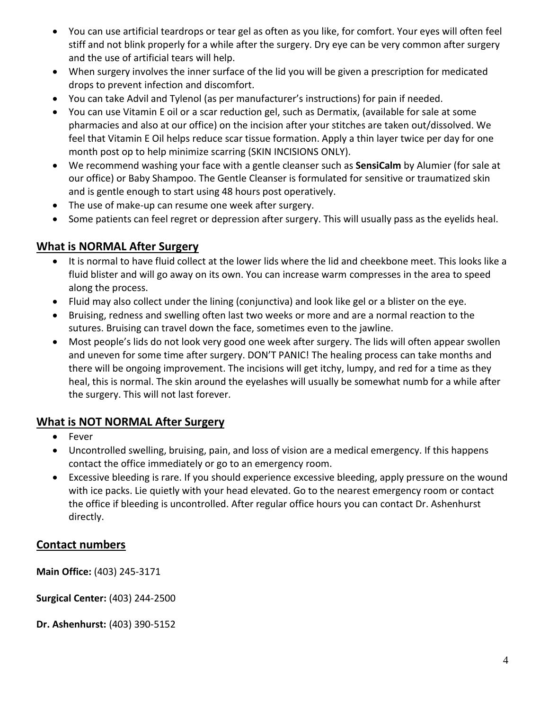- You can use artificial teardrops or tear gel as often as you like, for comfort. Your eyes will often feel stiff and not blink properly for a while after the surgery. Dry eye can be very common after surgery and the use of artificial tears will help.
- When surgery involves the inner surface of the lid you will be given a prescription for medicated drops to prevent infection and discomfort.
- You can take Advil and Tylenol (as per manufacturer's instructions) for pain if needed.
- You can use Vitamin E oil or a scar reduction gel, such as Dermatix, (available for sale at some pharmacies and also at our office) on the incision after your stitches are taken out/dissolved. We feel that Vitamin E Oil helps reduce scar tissue formation. Apply a thin layer twice per day for one month post op to help minimize scarring (SKIN INCISIONS ONLY).
- We recommend washing your face with a gentle cleanser such as **SensiCalm** by Alumier (for sale at our office) or Baby Shampoo. The Gentle Cleanser is formulated for sensitive or traumatized skin and is gentle enough to start using 48 hours post operatively.
- The use of make-up can resume one week after surgery.
- Some patients can feel regret or depression after surgery. This will usually pass as the eyelids heal.

## **What is NORMAL After Surgery**

- It is normal to have fluid collect at the lower lids where the lid and cheekbone meet. This looks like a fluid blister and will go away on its own. You can increase warm compresses in the area to speed along the process.
- Fluid may also collect under the lining (conjunctiva) and look like gel or a blister on the eye.
- Bruising, redness and swelling often last two weeks or more and are a normal reaction to the sutures. Bruising can travel down the face, sometimes even to the jawline.
- Most people's lids do not look very good one week after surgery. The lids will often appear swollen and uneven for some time after surgery. DON'T PANIC! The healing process can take months and there will be ongoing improvement. The incisions will get itchy, lumpy, and red for a time as they heal, this is normal. The skin around the eyelashes will usually be somewhat numb for a while after the surgery. This will not last forever.

### **What is NOT NORMAL After Surgery**

- Fever
- Uncontrolled swelling, bruising, pain, and loss of vision are a medical emergency. If this happens contact the office immediately or go to an emergency room.
- Excessive bleeding is rare. If you should experience excessive bleeding, apply pressure on the wound with ice packs. Lie quietly with your head elevated. Go to the nearest emergency room or contact the office if bleeding is uncontrolled. After regular office hours you can contact Dr. Ashenhurst directly.

### **Contact numbers**

**Main Office:** (403) 245-3171

**Surgical Center:** (403) 244-2500

**Dr. Ashenhurst:** (403) 390-5152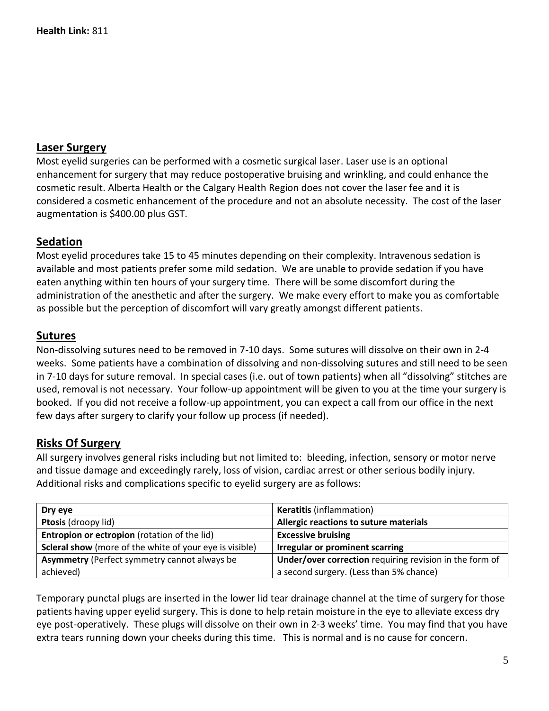#### **Laser Surgery**

Most eyelid surgeries can be performed with a cosmetic surgical laser. Laser use is an optional enhancement for surgery that may reduce postoperative bruising and wrinkling, and could enhance the cosmetic result. Alberta Health or the Calgary Health Region does not cover the laser fee and it is considered a cosmetic enhancement of the procedure and not an absolute necessity. The cost of the laser augmentation is \$400.00 plus GST.

### **Sedation**

Most eyelid procedures take 15 to 45 minutes depending on their complexity. Intravenous sedation is available and most patients prefer some mild sedation. We are unable to provide sedation if you have eaten anything within ten hours of your surgery time. There will be some discomfort during the administration of the anesthetic and after the surgery. We make every effort to make you as comfortable as possible but the perception of discomfort will vary greatly amongst different patients.

#### **Sutures**

Non-dissolving sutures need to be removed in 7-10 days. Some sutures will dissolve on their own in 2-4 weeks. Some patients have a combination of dissolving and non-dissolving sutures and still need to be seen in 7-10 days for suture removal. In special cases (i.e. out of town patients) when all "dissolving" stitches are used, removal is not necessary. Your follow-up appointment will be given to you at the time your surgery is booked. If you did not receive a follow-up appointment, you can expect a call from our office in the next few days after surgery to clarify your follow up process (if needed).

### **Risks Of Surgery**

All surgery involves general risks including but not limited to: bleeding, infection, sensory or motor nerve and tissue damage and exceedingly rarely, loss of vision, cardiac arrest or other serious bodily injury. Additional risks and complications specific to eyelid surgery are as follows:

| Dry eye                                                        | <b>Keratitis (inflammation)</b>                         |
|----------------------------------------------------------------|---------------------------------------------------------|
| Ptosis (droopy lid)                                            | Allergic reactions to suture materials                  |
| Entropion or ectropion (rotation of the lid)                   | <b>Excessive bruising</b>                               |
| <b>Scleral show</b> (more of the white of your eye is visible) | <b>Irregular or prominent scarring</b>                  |
| <b>Asymmetry (Perfect symmetry cannot always be</b>            | Under/over correction requiring revision in the form of |
| achieved)                                                      | a second surgery. (Less than 5% chance)                 |

Temporary punctal plugs are inserted in the lower lid tear drainage channel at the time of surgery for those patients having upper eyelid surgery. This is done to help retain moisture in the eye to alleviate excess dry eye post-operatively. These plugs will dissolve on their own in 2-3 weeks' time. You may find that you have extra tears running down your cheeks during this time. This is normal and is no cause for concern.